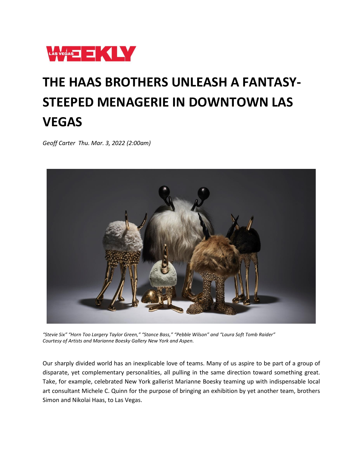

## **THE HAAS BROTHERS UNLEASH A FANTASY-STEEPED MENAGERIE IN DOWNTOWN LAS VEGAS**

*Geoff Carter Thu. Mar. 3, 2022 (2:00am)*



*"Stevie Six" "Horn Too Largery Taylor Green," "Stance Bass," "Pebble Wilson" and "Laura Soft Tomb Raider" Courtesy of Artists and Marianne Boesky Gallery New York and Aspen.*

Our sharply divided world has an inexplicable love of teams. Many of us aspire to be part of a group of disparate, yet complementary personalities, all pulling in the same direction toward something great. Take, for example, celebrated New York gallerist Marianne Boesky teaming up with indispensable local art consultant Michele C. Quinn for the purpose of bringing an exhibition by yet another team, brothers Simon and Nikolai Haas, to Las Vegas.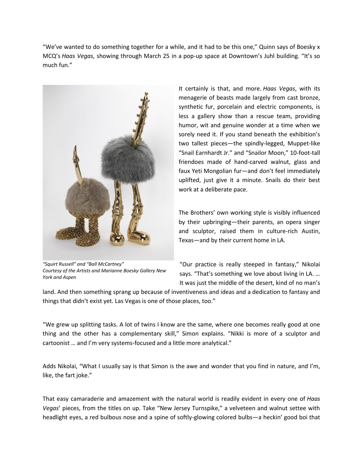"We've wanted to do something together for a while, and it had to be this one," Quinn says of Boesky x MCQ's *Haas Vegas*, showing through March 25 in a pop-up space at Downtown's Juhl building. "It's so much fun."



*"Squirt Russell" and "Ball McCartney" Courtesy of the Artists and Marianne Boesky Gallery New York and Aspen*

It certainly is that, and more. *Haas Vegas*, with its menagerie of beasts made largely from cast bronze, synthetic fur, porcelain and electric components, is less a gallery show than a rescue team, providing humor, wit and genuine wonder at a time when we sorely need it. If you stand beneath the exhibition's two tallest pieces—the spindly-legged, Muppet-like "Snail Earnhardt Jr." and "Snailor Moon," 10-foot-tall friendoes made of hand-carved walnut, glass and faux Yeti Mongolian fur—and don't feel immediately uplifted, just give it a minute. Snails do their best work at a deliberate pace.

The Brothers' own working style is visibly influenced by their upbringing—their parents, an opera singer and sculptor, raised them in culture-rich Austin, Texas—and by their current home in LA.

"Our practice is really steeped in fantasy," Nikolai says. "That's something we love about living in LA. … It was just the middle of the desert, kind of no man's

land. And then something sprang up because of inventiveness and ideas and a dedication to fantasy and things that didn't exist yet. Las Vegas is one of those places, too."

"We grew up splitting tasks. A lot of twins I know are the same, where one becomes really good at one thing and the other has a complementary skill," Simon explains. "Nikki is more of a sculptor and cartoonist … and I'm very systems-focused and a little more analytical."

Adds Nikolai, "What I usually say is that Simon is the awe and wonder that you find in nature, and I'm, like, the fart joke."

That easy camaraderie and amazement with the natural world is readily evident in every one of *Haas Vegas*' pieces, from the titles on up. Take "New Jersey Turnspike," a velveteen and walnut settee with headlight eyes, a red bulbous nose and a spine of softly-glowing colored bulbs—a heckin' good boi that